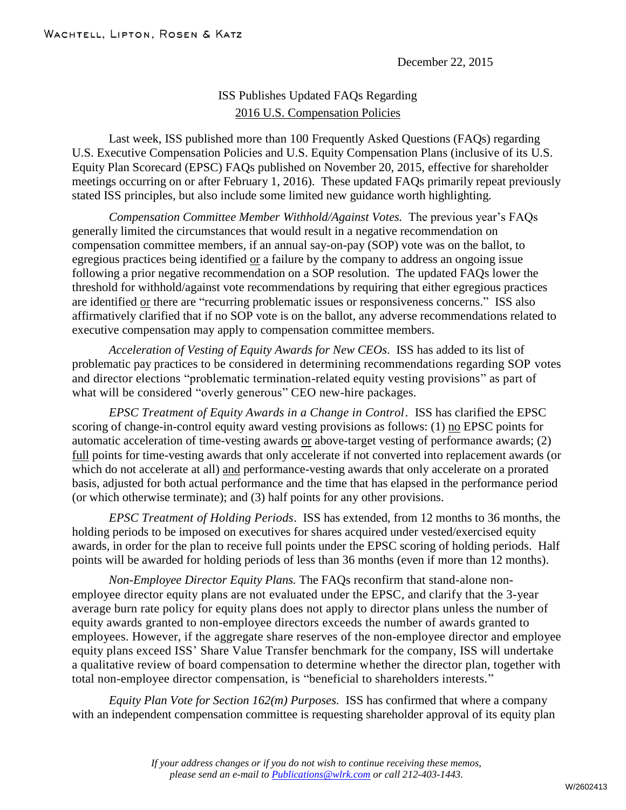December 22, 2015

## ISS Publishes Updated FAQs Regarding 2016 U.S. Compensation Policies

Last week, ISS published more than 100 Frequently Asked Questions (FAQs) regarding U.S. Executive Compensation Policies and U.S. Equity Compensation Plans (inclusive of its U.S. Equity Plan Scorecard (EPSC) FAQs published on November 20, 2015, effective for shareholder meetings occurring on or after February 1, 2016). These updated FAQs primarily repeat previously stated ISS principles, but also include some limited new guidance worth highlighting.

*Compensation Committee Member Withhold/Against Votes.* The previous year's FAQs generally limited the circumstances that would result in a negative recommendation on compensation committee members, if an annual say-on-pay (SOP) vote was on the ballot, to egregious practices being identified or a failure by the company to address an ongoing issue following a prior negative recommendation on a SOP resolution. The updated FAQs lower the threshold for withhold/against vote recommendations by requiring that either egregious practices are identified or there are "recurring problematic issues or responsiveness concerns." ISS also affirmatively clarified that if no SOP vote is on the ballot, any adverse recommendations related to executive compensation may apply to compensation committee members.

*Acceleration of Vesting of Equity Awards for New CEOs*. ISS has added to its list of problematic pay practices to be considered in determining recommendations regarding SOP votes and director elections "problematic termination-related equity vesting provisions" as part of what will be considered "overly generous" CEO new-hire packages.

*EPSC Treatment of Equity Awards in a Change in Control*. ISS has clarified the EPSC scoring of change-in-control equity award vesting provisions as follows: (1) no EPSC points for automatic acceleration of time-vesting awards or above-target vesting of performance awards; (2) full points for time-vesting awards that only accelerate if not converted into replacement awards (or which do not accelerate at all) and performance-vesting awards that only accelerate on a prorated basis, adjusted for both actual performance and the time that has elapsed in the performance period (or which otherwise terminate); and (3) half points for any other provisions.

*EPSC Treatment of Holding Periods*. ISS has extended, from 12 months to 36 months, the holding periods to be imposed on executives for shares acquired under vested/exercised equity awards, in order for the plan to receive full points under the EPSC scoring of holding periods. Half points will be awarded for holding periods of less than 36 months (even if more than 12 months).

*Non-Employee Director Equity Plans.* The FAQs reconfirm that stand-alone nonemployee director equity plans are not evaluated under the EPSC, and clarify that the 3-year average burn rate policy for equity plans does not apply to director plans unless the number of equity awards granted to non-employee directors exceeds the number of awards granted to employees. However, if the aggregate share reserves of the non-employee director and employee equity plans exceed ISS' Share Value Transfer benchmark for the company, ISS will undertake a qualitative review of board compensation to determine whether the director plan, together with total non-employee director compensation, is "beneficial to shareholders interests."

*Equity Plan Vote for Section 162(m) Purposes.* ISS has confirmed that where a company with an independent compensation committee is requesting shareholder approval of its equity plan